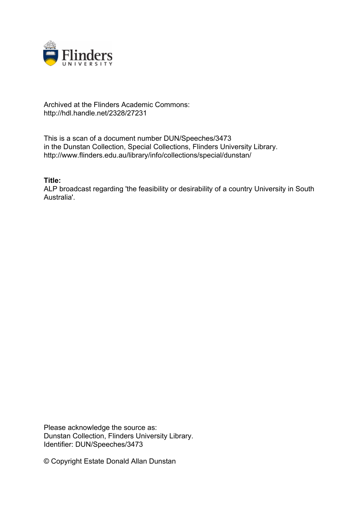

## Archived at the Flinders Academic Commons: http://hdl.handle.net/2328/27231

This is a scan of a document number DUN/Speeches/3473 in the Dunstan Collection, Special Collections, Flinders University Library. http://www.flinders.edu.au/library/info/collections/special/dunstan/

**Title:**

ALP broadcast regarding 'the feasibility or desirability of a country University in South Australia'.

Please acknowledge the source as: Dunstan Collection, Flinders University Library. Identifier: DUN/Speeches/3473

© Copyright Estate Donald Allan Dunstan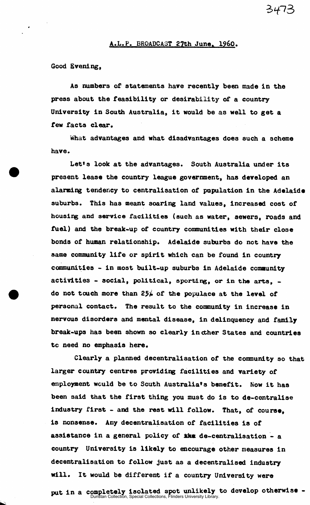## A.L.P. BROADCAST 27th June, i960.

3473

Good Evening,

As numbers of statements have recently been made in the press about the feasibility or desirability of a country University in South Australia, it would be as well to get a few facts clear.

What advantages and what disadvantages does such a scheme have.

Let's look at the advantages. South Australia under its present lease the country league government, has developed an alarming tendency to centralisation of papulation in the Adelaide suburbs. This has meant soaring land values, increased cost of housing and service facilities (such as water, sewers, roads and fuel) and the break-up of country communities with their close bonds of human relationship. Adelaide suburbs do not have the same community life or spirit which can be found in country communities - in most built-up suburbs in Adelaide community activities - social, political, sporting, or in the arts, do not touch more than  $25/6$  of the populace at the level of personal contact. The result to the community in increase in nervous disorders and mental disease, in delinquency and family break-ups has been shown so clearly in ther States and countries tc need no emphasis here.

Clearly a planned decentralisation of the community so that larger country centres providing facilities and variety of employment would be to South Australia's benefit. Now it has been said that the first thing you must do is to de-centralise industry first - and the rest will follow. That, of course, is nonsense. Any decentralisation of facilities is of assistance in a general policy of  $\mathbf{X}$ km de-centralisation - a country University is likely to encourage other measures in decentralisation to follow just as a decentralised industry will. It would be different if a country University were

put in a completely isolated spot unlikely to develop otherwise - Dunstan Collection, Special Collections, Flinders University Library.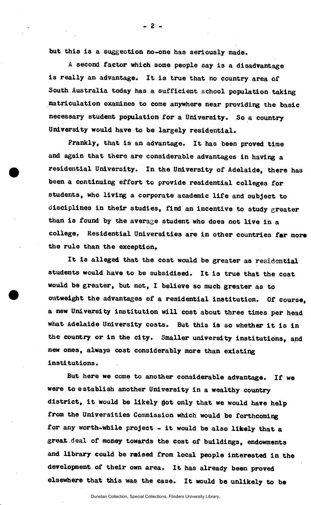but this is a suggestion no-one has seriously made.

 $2$ .

**A** second factor which some people say is a disadvantage is really an advantage. It is true that no country area of South Australia today has a sufficient school population taking matriculation examines to come anywhere near providing the basic necessary student population for a University. So a country University would have to be largely residential.

Frankly, that is an advantage. It has been proved time and again that there are considerable advantages in having a residential University. In the University of Adelaide, there has been a continuing effort to provide residential colleges for students, who living a corporate academic life and subject to disciplines in their studies, find an incentive to study greater than is found by the average student who does not live in a college. Residential Universities are in other countries far more the rule than the exception,

It is alleged that the cost would be greater as **residential**  students would have to be subsidised. It is true that the cost would be greater, but not, I believe so much greater as to outweight the advantages of a residential institution. Of course, a new University institution will cost about three times per head what Adelaide University costs. But this is so whether it is in the country or in the city. Smaller university institutions, and new ones, always **co3t** considerably more than existing institutions.

But here we come to another considerable advantage. If we were to establish another University in a wealthy country district, it would be likely jot only that we would have help from the Universities Commission which would be **forthcoming**  for any worth-while project - it would be also likely that a great deal of money towards the cost of buildings, endowments and library could be raised from local people interested in the development of their own area. It has already been proved elsewhere that this was the case. It would be unlikely to be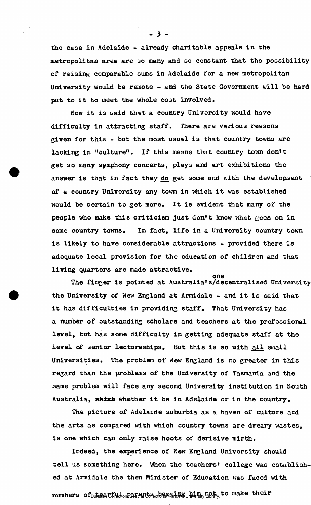the case in Adelaide - already charitable appeals in the metropolitan area are so many and so constant that the possibility of raising comparable sums in Adelaide for a new metropolitan University would be remote - and the State Government will be hard put to it to meet the whole cost involved.

Now it is said that a country University would have difficulty in attracting staff. There are various reasons given for this - but the most usual is that country towns are lacking in "culture". If this means that country town don't get so many symphony concerts, plays and art exhibitions the answer is that in fact they do get some and with the development of a country University any town in which it was established would be certain to get more. It is evident that many of the people who make this criticism just don't know what  $g$ oes on in some country towns. In fact, life in a University country town is likely to have considerable attractions - provided there is adequate local provision for the education of childran and that living quarters are made attractive,

one The finger is pointed at Australia's/decentralised **University**  the University of New England at Armidale - and it is said that it has difficulties in providing staff. That University has a number of outstanding scholars and teachers at the professional level, but has some difficulty in getting adequate staff at the level of senior lectureships. But this is so with all small Universities. The problem of **New** England is no greater in this regard than the problems of the University of Tasmania and the same problem will face any second University institution in South Australia, which whether it be in Adelaide or in the country.

The picture of Adelaide suburbia as a haven of culture and the arts as compared with which country towns are dreary wastes, is one which can only raise hoots of derisive mirth.

Indeed, the experience of New England University should tell us something here. When the teachers' college was established at Armidale the then Minister of Education was faced with  ${\tt numbers}$  of  $_{\tiny \text{Du}}$  real  $\text{Ef}$  with  $_{\tiny \text{Du}}$  represents the equation of  $_{\tiny \text{Du}}$  in  $_{\tiny \text{Du}}$  in  $_{\tiny \text{Du}}$  in  $_{\tiny \text{Du}}$  to make their

- 3 -